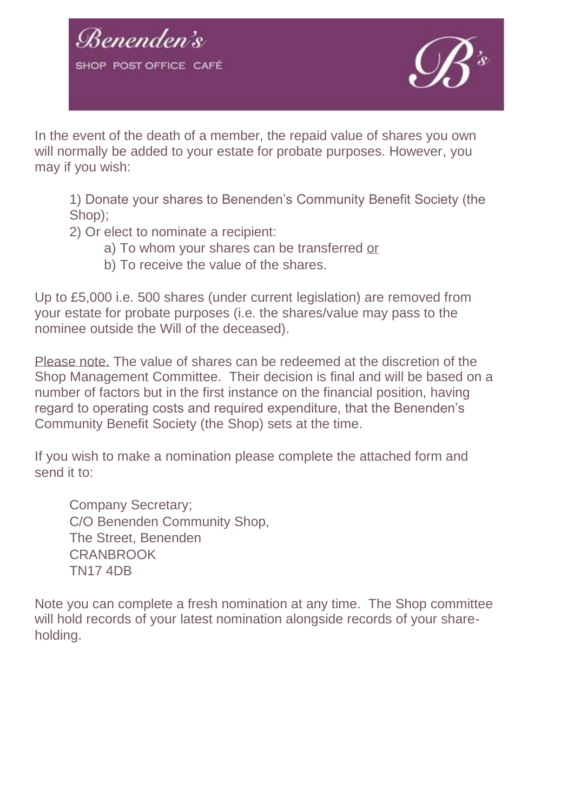



In the event of the death of a member, the repaid value of shares you own will normally be added to your estate for probate purposes. However, you may if you wish:

1) Donate your shares to Benenden's Community Benefit Society (the Shop);

2) Or elect to nominate a recipient:

- a) To whom your shares can be transferred or
- b) To receive the value of the shares.

Up to £5,000 i.e. 500 shares (under current legislation) are removed from your estate for probate purposes (i.e. the shares/value may pass to the nominee outside the Will of the deceased).

Please note. The value of shares can be redeemed at the discretion of the Shop Management Committee. Their decision is final and will be based on a number of factors but in the first instance on the financial position, having regard to operating costs and required expenditure, that the Benenden's Community Benefit Society (the Shop) sets at the time.

If you wish to make a nomination please complete the attached form and send it to:

Company Secretary; C/O Benenden Community Shop, The Street, Benenden **CRANBROOK** TN17 4DB

Note you can complete a fresh nomination at any time. The Shop committee will hold records of your latest nomination alongside records of your shareholding.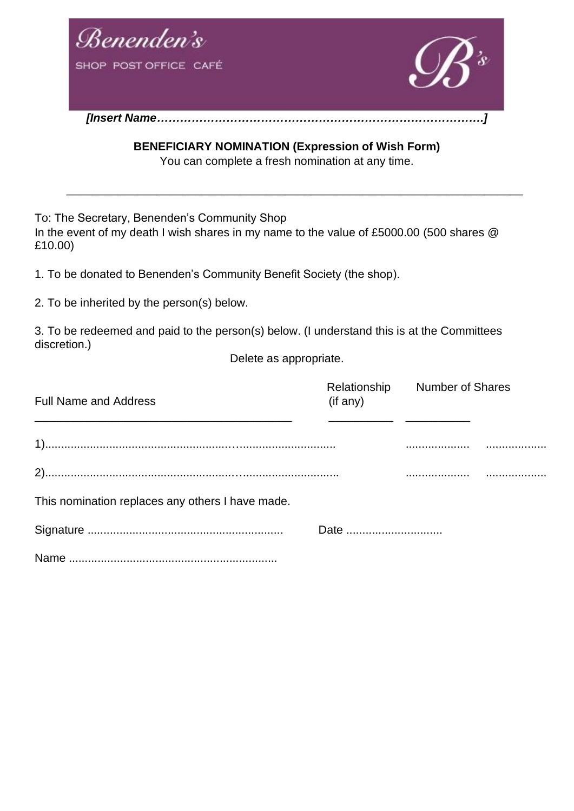

**BENEFICIARY NOMINATION (Expression of Wish Form)** You can complete a fresh nomination at any time.

\_\_\_\_\_\_\_\_\_\_\_\_\_\_\_\_\_\_\_\_\_\_\_\_\_\_\_\_\_\_\_\_\_\_\_\_\_\_\_\_\_\_\_\_\_\_\_\_\_\_\_\_\_\_\_\_\_\_\_\_\_\_\_\_\_\_\_\_\_\_\_

To: The Secretary, Benenden's Community Shop

In the event of my death I wish shares in my name to the value of £5000.00 (500 shares @ £10.00)

1. To be donated to Benenden's Community Benefit Society (the shop).

2. To be inherited by the person(s) below.

3. To be redeemed and paid to the person(s) below. (I understand this is at the Committees discretion.)

Delete as appropriate.

| <b>Full Name and Address</b>                     | (i f any) | Relationship Number of Shares |  |
|--------------------------------------------------|-----------|-------------------------------|--|
|                                                  |           |                               |  |
|                                                  |           |                               |  |
| This nomination replaces any others I have made. |           |                               |  |
|                                                  | Date      |                               |  |
|                                                  |           |                               |  |